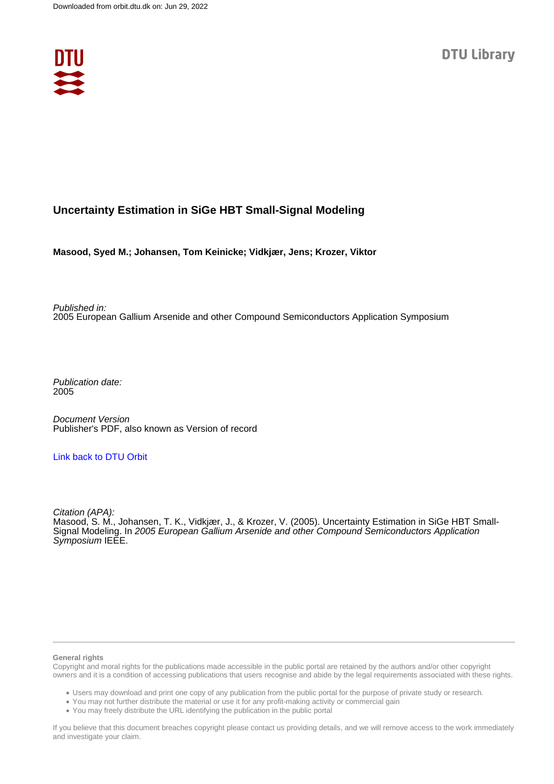

# **Uncertainty Estimation in SiGe HBT Small-Signal Modeling**

**Masood, Syed M.; Johansen, Tom Keinicke; Vidkjær, Jens; Krozer, Viktor**

Published in: 2005 European Gallium Arsenide and other Compound Semiconductors Application Symposium

Publication date: 2005

Document Version Publisher's PDF, also known as Version of record

# [Link back to DTU Orbit](https://orbit.dtu.dk/en/publications/b6e56a64-aefe-4766-9a2e-53e9de5dcb72)

Citation (APA): Masood, S. M., Johansen, T. K., Vidkjær, J., & Krozer, V. (2005). Uncertainty Estimation in SiGe HBT Small-Signal Modeling. In 2005 European Gallium Arsenide and other Compound Semiconductors Application Symposium IEEE.

#### **General rights**

Copyright and moral rights for the publications made accessible in the public portal are retained by the authors and/or other copyright owners and it is a condition of accessing publications that users recognise and abide by the legal requirements associated with these rights.

Users may download and print one copy of any publication from the public portal for the purpose of private study or research.

- You may not further distribute the material or use it for any profit-making activity or commercial gain
- You may freely distribute the URL identifying the publication in the public portal

If you believe that this document breaches copyright please contact us providing details, and we will remove access to the work immediately and investigate your claim.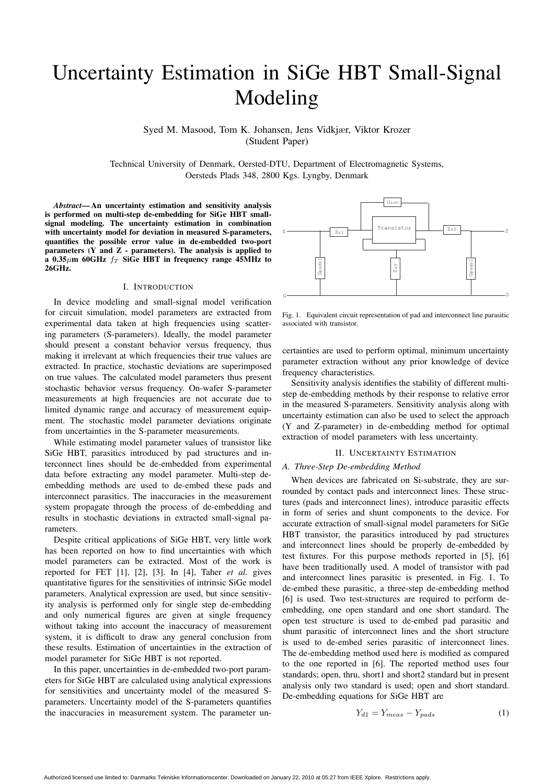# Uncertainty Estimation in SiGe HBT Small-Signal Modeling

Syed M. Masood, Tom K. Johansen, Jens Vidkjær, Viktor Krozer (Student Paper)

Technical University of Denmark, Oersted-DTU, Department of Electromagnetic Systems, Oersteds Plads 348, 2800 Kgs. Lyngby, Denmark

*Abstract*— An uncertainty estimation and sensitivity analysis is performed on multi-step de-embedding for SiGe HBT smallsignal modeling. The uncertainty estimation in combination with uncertainty model for deviation in measured S-parameters, quantifies the possible error value in de-embedded two-port parameters  $(Y \text{ and } Z \text{ - parameters})$ . The analysis is applied to a 0.35 $\mu$ m 60GHz  $f_T$  SiGe HBT in frequency range 45MHz to 26GHz.

#### I. INTRODUCTION

In device modeling and small-signal model verification for circuit simulation, model parameters are extracted from experimental data taken at high frequencies using scattering parameters (S-parameters). Ideally, the model parameter should present a constant behavior versus frequency, thus making it irrelevant at which frequencies their true values are extracted. In practice, stochastic deviations are superimposed on true values. The calculated model parameters thus present stochastic behavior versus frequency. On-wafer S-parameter measurements at high frequencies are not accurate due to limited dynamic range and accuracy of measurement equipment. The stochastic model parameter deviations originate from uncertainties in the S-parameter measurements.

While estimating model parameter values of transistor like SiGe HBT, parasitics introduced by pad structures and interconnect lines should be de-embedded from experimental data before extracting any model parameter. Multi-step deembedding methods are used to de-embed these pads and interconnect parasitics. The inaccuracies in the measurement system propagate through the process of de-embedding and results in stochastic deviations in extracted small-signal parameters.

Despite critical applications of SiGe HBT, very little work has been reported on how to find uncertainties with which model parameters can be extracted. Most of the work is reported for FET [1], [2], [3]. In [4], Taher *et al.* gives quantitative figures for the sensitivities of intrinsic SiGe model parameters. Analytical expression are used, but since sensitivity analysis is performed only for single step de-embedding and only numerical figures are given at single frequency without taking into account the inaccuracy of measurement system, it is difficult to draw any general conclusion from these results. Estimation of uncertainties in the extraction of model parameter for SiGe HBT is not reported.

In this paper, uncertainties in de-embedded two-port parameters for SiGe HBT are calculated using analytical expressions for sensitivities and uncertainty model of the measured Sparameters. Uncertainty model of the S-parameters quantifies the inaccuracies in measurement system. The parameter un-



Fig. 1. Equivalent circuit representation of pad and interconnect line parasitic associated with transistor.

certainties are used to perform optimal, minimum uncertainty parameter extraction without any prior knowledge of device frequency characteristics.

Sensitivity analysis identifies the stability of different multistep de-embedding methods by their response to relative error in the measured S-parameters. Sensitivity analysis along with uncertainty estimation can also be used to select the approach (Y and Z-parameter) in de-embedding method for optimal extraction of model parameters with less uncertainty.

### II. UNCERTAINTY ESTIMATION

#### *A. Three-Step De-embedding Method*

When devices are fabricated on Si-substrate, they are surrounded by contact pads and interconnect lines. These structures (pads and interconnect lines), introduce parasitic effects in form of series and shunt components to the device. For accurate extraction of small-signal model parameters for SiGe HBT transistor, the parasitics introduced by pad structures and interconnect lines should be properly de-embedded by test fixtures. For this purpose methods reported in [5], [6] have been traditionally used. A model of transistor with pad and interconnect lines parasitic is presented, in Fig. 1. To de-embed these parasitic, a three-step de-embedding method [6] is used. Two test-structures are required to perform deembedding, one open standard and one short standard. The open test structure is used to de-embed pad parasitic and shunt parasitic of interconnect lines and the short structure is used to de-embed series parasitic of interconnect lines. The de-embedding method used here is modified as compared to the one reported in [6]. The reported method uses four standards; open, thru, short1 and short2 standard but in present analysis only two standard is used; open and short standard. De-embedding equations for SiGe HBT are

$$
Y_{d1} = Y_{meas} - Y_{pads} \tag{1}
$$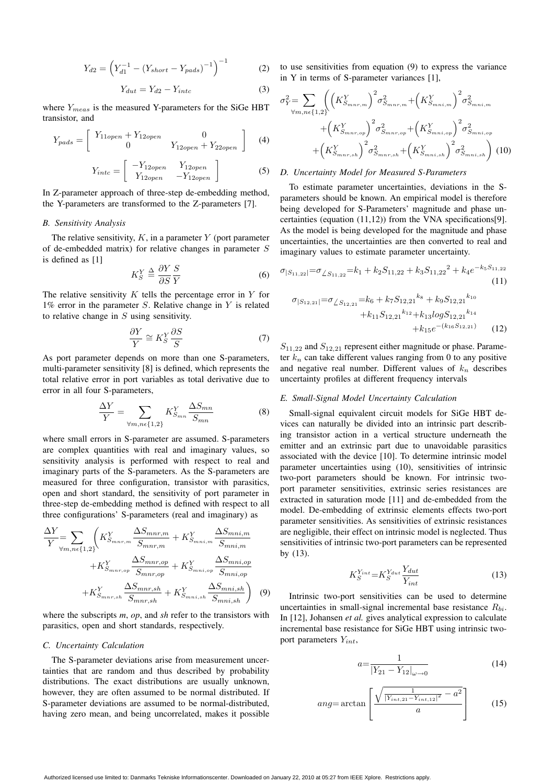$$
Y_{d2} = \left(Y_{d1}^{-1} - (Y_{short} - Y_{pads})^{-1}\right)^{-1}
$$
 (2)

$$
Y_{dut} = Y_{d2} - Y_{intc} \tag{3}
$$

where  $Y_{meas}$  is the measured Y-parameters for the SiGe HBT transistor, and

$$
Y_{pads} = \begin{bmatrix} Y_{11open} + Y_{12open} & 0 \\ 0 & Y_{12open} + Y_{22open} \end{bmatrix}
$$
 (4)

$$
Y_{intc} = \begin{bmatrix} -Y_{12open} & Y_{12open} \\ Y_{12open} & -Y_{12open} \end{bmatrix}
$$
 (5)

In Z-parameter approach of three-step de-embedding method, the Y-parameters are transformed to the Z-parameters [7].

## *B. Sensitivity Analysis*

The relative sensitivity,  $K$ , in a parameter  $Y$  (port parameter of de-embedded matrix) for relative changes in parameter S is defined as [1]

$$
K_S^Y \stackrel{\Delta}{=} \frac{\partial Y}{\partial S} \frac{S}{Y}
$$
 (6)

The relative sensitivity K tells the percentage error in Y for  $1\%$  error in the parameter S. Relative change in Y is related  $1\%$  error in the parameter S. Relative change in Y is related to relative change in  $S$  using sensitivity.

$$
\frac{\partial Y}{Y} \cong K_S^Y \frac{\partial S}{S}
$$
 (7)  
As port parameter depends on more than one S-parameters,

multi-parameter sensitivity [8] is defined, which represents the total relative error in port variables as total derivative due to error in all four S-parameters,

$$
\frac{\Delta Y}{Y} = \sum_{\forall m, n \in \{1, 2\}} K_{S_{mn}}^Y \frac{\Delta S_{mn}}{S_{mn}} \tag{8}
$$

where small errors in S-parameter are assumed. S-parameters are complex quantities with real and imaginary values, so sensitivity analysis is performed with respect to real and imaginary parts of the S-parameters. As the S-parameters are measured for three configuration, transistor with parasitics, open and short standard, the sensitivity of port parameter in three-step de-embedding method is defined with respect to all three configurations' S-parameters (real and imaginary) as

$$
\frac{\Delta Y}{Y} = \sum_{\forall m,n \in \{1,2\}} \left( K_{S_{mnr,m}}^Y \frac{\Delta S_{mnr,m}}{S_{mnr,m}} + K_{S_{mni,m}}^Y \frac{\Delta S_{mni,m}}{S_{mni,m}} + K_{S_{mni,np}}^Y \frac{\Delta S_{mni,m}}{S_{mni,op}} + K_{S_{mni,op}}^Y \frac{\Delta S_{mni,op}}{S_{mni,op}} + K_{S_{mni,sh}}^Y \frac{\Delta S_{mni,sh}}{S_{mni,sh}} + K_{S_{mni,sh}}^Y \frac{\Delta S_{mni,sh}}{S_{mni,sh}} \right) \tag{9}
$$

where the subscripts *m*, *op*, and *sh* refer to the transistors with parasitics, open and short standards, respectively.

## *C. Uncertainty Calculation*

The S-parameter deviations arise from measurement uncertainties that are random and thus described by probability distributions. The exact distributions are usually unknown, however, they are often assumed to be normal distributed. If S-parameter deviations are assumed to be normal-distributed, having zero mean, and being uncorrelated, makes it possible to use sensitivities from equation (9) to express the variance in Y in terms of S-parameter variances [1],

$$
\sigma_Y^2 = \sum_{\forall m,n \in \{1,2\}} \left( \left( K_{S_{mnr,m}}^Y \right)^2 \sigma_{S_{mnr,m}}^2 + \left( K_{S_{mni,m}}^Y \right)^2 \sigma_{S_{mni,m}}^2 + \left( K_{S_{mnr,op}}^Y \right)^2 \sigma_{S_{mnr,op}}^2 + \left( K_{S_{mnr,op}}^Y \right)^2 \sigma_{S_{mni,op}}^2 + \left( K_{S_{mnr,sh}}^Y \right)^2 \sigma_{S_{mnr,sh}}^2 + \left( K_{S_{mnr,sh}}^Y \right)^2 \sigma_{S_{mni,sh}}^2 \right) (10)
$$

# *D. Uncertainty Model for Measured S-Parameters*

To estimate parameter uncertainties, deviations in the Sparameters should be known. An empirical model is therefore being developed for S-Parameters' magnitude and phase uncertainties (equation (11,12)) from the VNA specifications[9]. As the model is being developed for the magnitude and phase uncertainties, the uncertainties are then converted to real and imaginary values to estimate parameter uncertainty.

$$
\sigma_{|S_{11,22}|} = \sigma_{\angle S_{11,22}} = k_1 + k_2 S_{11,22} + k_3 S_{11,22}^2 + k_4 e^{-k_5 S_{11,22}} \tag{11}
$$

$$
\sigma_{|S_{12,21}|} = \sigma_{\angle S_{12,21}} = k_6 + k_7 S_{12,21}^{k_8} + k_9 S_{12,21}^{k_{10}} + k_{11} S_{12,21}^{k_{12}} + k_{13} \log S_{12,21}^{k_{14}} + k_{15} e^{-(k_{16} S_{12,21})}
$$
(12)

 $S_{11,22}$  and  $S_{12,21}$  represent either magnitude or phase. Parameter  $k_n$  can take different values ranging from 0 to any positive and negative real number. Different values of  $k_n$  describes uncertainty profiles at different frequency intervals

#### *E. Small-Signal Model Uncertainty Calculation*

Small-signal equivalent circuit models for SiGe HBT devices can naturally be divided into an intrinsic part describing transistor action in a vertical structure underneath the emitter and an extrinsic part due to unavoidable parasitics associated with the device [10]. To determine intrinsic model parameter uncertainties using (10), sensitivities of intrinsic two-port parameters should be known. For intrinsic twoport parameter sensitivities, extrinsic series resistances are extracted in saturation mode [11] and de-embedded from the model. De-embedding of extrinsic elements effects two-port parameter sensitivities. As sensitivities of extrinsic resistances are negligible, their effect on intrinsic model is neglected. Thus sensitivities of intrinsic two-port parameters can be represented by (13).

$$
K_S^{Y_{int}} = K_S^{Y_{dut}} \frac{Y_{dut}}{Y_{int}}
$$
\n(13)

Intrinsic two-port sensitivities can be used to determine uncertainties in small-signal incremental base resistance  $R_{bi}$ . In [12], Johansen *et al.* gives analytical expression to calculate incremental base resistance for SiGe HBT using intrinsic twoport parameters  $Y_{int}$ ,

$$
a = \frac{1}{|Y_{21} - Y_{12}|_{\omega \to 0}}\tag{14}
$$

$$
ang = \arctan\left[\frac{\sqrt{\frac{1}{|Y_{int,21} - Y_{int,12}|^2} - a^2}}{a}\right]
$$
 (15)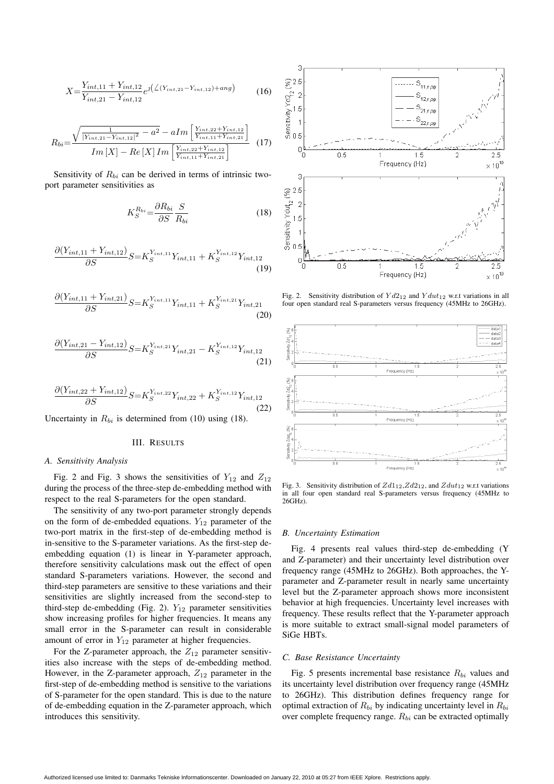$$
X = \frac{Y_{int,11} + Y_{int,12}}{Y_{int,21} - Y_{int,12}} e^{\int (\angle (Y_{int,21} - Y_{int,12}) + ang)} \tag{16}
$$

$$
R_{bi} = \frac{\sqrt{\frac{1}{|Y_{int,21} - Y_{int,12}|^2} - a^2} - aIm\left[\frac{Y_{int,22} + Y_{int,12}}{Y_{int,11} + Y_{int,21}}\right]}{Im\left[X\right] - Re\left[X\right]Im\left[\frac{Y_{int,22} + Y_{int,12}}{Y_{int,11} + Y_{int,21}}\right]} \tag{17}
$$

Sensitivity of  $R_{bi}$  can be derived in terms of intrinsic twoport parameter sensitivities as

$$
K_S^{R_{bi}} = \frac{\partial R_{bi}}{\partial S} \frac{S}{R_{bi}} \tag{18}
$$

$$
\frac{\partial (Y_{int,11} + Y_{int,12})}{\partial S} S = K_S^{Y_{int,11}} Y_{int,11} + K_S^{Y_{int,12}} Y_{int,12}
$$
\n(19)

$$
\frac{\partial (Y_{int,11} + Y_{int,21})}{\partial S} S = K_S^{Y_{int,11}} Y_{int,11} + K_S^{Y_{int,21}} Y_{int,21}
$$
\n(20)

$$
\frac{\partial (Y_{int,21} - Y_{int,12})}{\partial S} S = K_S^{Y_{int,21}} Y_{int,21} - K_S^{Y_{int,12}} Y_{int,12}
$$
\n(21)

$$
\frac{\partial (Y_{int,22} + Y_{int,12})}{\partial S} S = K_S^{Y_{int,22}} Y_{int,22} + K_S^{Y_{int,12}} Y_{int,12}
$$
\n(22)

Uncertainty in  $R_{bi}$  is determined from (10) using (18).

# III. RESULTS

# *A. Sensitivity Analysis*

Fig. 2 and Fig. 3 shows the sensitivities of  $Y_{12}$  and  $Z_{12}$ during the process of the three-step de-embedding method with respect to the real S-parameters for the open standard.

The sensitivity of any two-port parameter strongly depends on the form of de-embedded equations.  $Y_{12}$  parameter of the two-port matrix in the first-step of de-embedding method is in-sensitive to the S-parameter variations. As the first-step deembedding equation (1) is linear in Y-parameter approach, therefore sensitivity calculations mask out the effect of open standard S-parameters variations. However, the second and third-step parameters are sensitive to these variations and their sensitivities are slightly increased from the second-step to third-step de-embedding (Fig. 2).  $Y_{12}$  parameter sensitivities show increasing profiles for higher frequencies. It means any small error in the S-parameter can result in considerable amount of error in  $Y_{12}$  parameter at higher frequencies.

For the Z-parameter approach, the  $Z_{12}$  parameter sensitivities also increase with the steps of de-embedding method. However, in the Z-parameter approach,  $Z_{12}$  parameter in the first-step of de-embedding method is sensitive to the variations of S-parameter for the open standard. This is due to the nature of de-embedding equation in the Z-parameter approach, which introduces this sensitivity.



Fig. 2. Sensitivity distribution of  $Yd2_{12}$  and  $Ydu_{12}$  w.r.t variations in all four open standard real S-parameters versus frequency (45MHz to 26GHz).



Fig. 3. Sensitivity distribution of *Zd*112,*Zd*212, and *Zdut*<sup>12</sup> w.r.t variations in all four open standard real S-parameters versus frequency (45MHz to 26GHz).

#### *B. Uncertainty Estimation*

Fig. 4 presents real values third-step de-embedding (Y and Z-parameter) and their uncertainty level distribution over frequency range (45MHz to 26GHz). Both approaches, the Yparameter and Z-parameter result in nearly same uncertainty level but the Z-parameter approach shows more inconsistent behavior at high frequencies. Uncertainty level increases with frequency. These results reflect that the Y-parameter approach is more suitable to extract small-signal model parameters of SiGe HBTs.

#### *C. Base Resistance Uncertainty*

Fig. 5 presents incremental base resistance  $R_{bi}$  values and its uncertainty level distribution over frequency range (45MHz to 26GHz). This distribution defines frequency range for optimal extraction of  $R_{bi}$  by indicating uncertainty level in  $R_{bi}$ over complete frequency range.  $R_{bi}$  can be extracted optimally